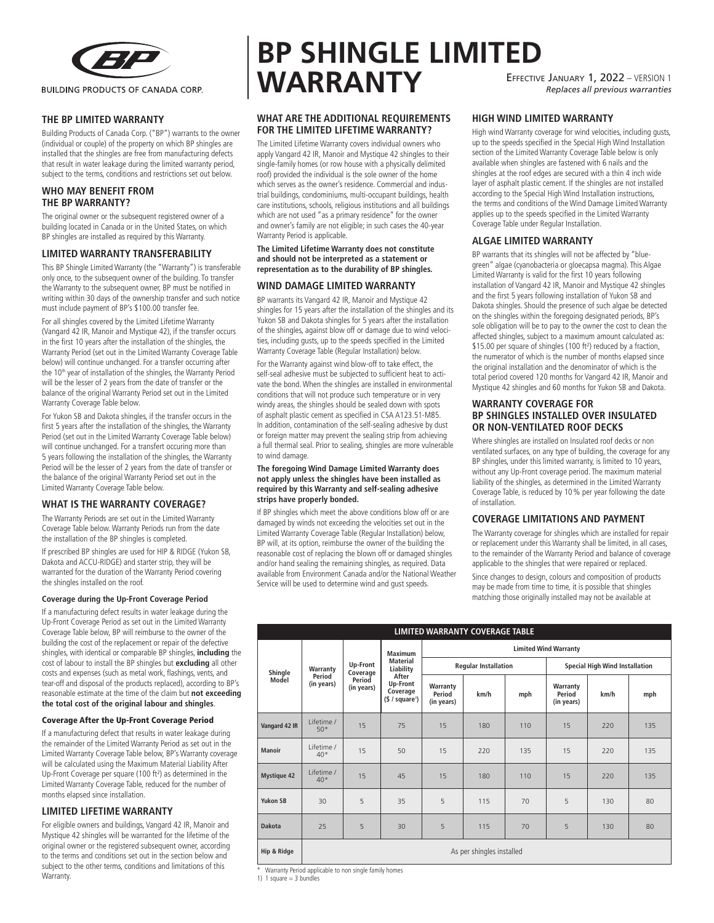

**THE BP LIMITED WARRANTY**

Building Products of Canada Corp. ("BP") warrants to the owner (individual or couple) of the property on which BP shingles are installed that the shingles are free from manufacturing defects that result in water leakage during the limited warranty period, subject to the terms, conditions and restrictions set out below.

# **WHO MAY BENEFIT FROM THE BP WARRANTY?**

The original owner or the subsequent registered owner of a building located in Canada or in the United States, on which BP shingles are installed as required by this Warranty.

## **LIMITED WARRANTY TRANSFERABILITY**

This BP Shingle Limited Warranty (the "Warranty") is transferable only once, to the subsequent owner of the building. To transfer the Warranty to the subsequent owner, BP must be notified in writing within 30 days of the ownership transfer and such notice must include payment of BP's \$100.00 transfer fee.

For all shingles covered by the Limited Lifetime Warranty (Vangard 42 IR, Manoir and Mystique 42), if the transfer occurs in the first 10 years after the installation of the shingles, the Warranty Period (set out in the Limited Warranty Coverage Table below) will continue unchanged. For a transfer occurring after the 10<sup>th</sup> year of installation of the shingles, the Warranty Period will be the lesser of 2 years from the date of transfer or the balance of the original Warranty Period set out in the Limited Warranty Coverage Table below.

For Yukon SB and Dakota shingles, if the transfer occurs in the first 5 years after the installation of the shingles, the Warranty Period (set out in the Limited Warranty Coverage Table below) will continue unchanged. For a transfert occuring more than 5 years following the installation of the shingles, the Warranty Period will be the lesser of 2 years from the date of transfer or the balance of the original Warranty Period set out in the Limited Warranty Coverage Table below.

# **WHAT IS THE WARRANTY COVERAGE?**

The Warranty Periods are set out in the Limited Warranty Coverage Table below. Warranty Periods run from the date the installation of the BP shingles is completed.

If prescribed BP shingles are used for HIP & RIDGE (Yukon SB, Dakota and ACCU-RIDGE) and starter strip, they will be warranted for the duration of the Warranty Period covering the shingles installed on the roof.

#### **Coverage during the Up-Front Coverage Period**

If a manufacturing defect results in water leakage during the Up-Front Coverage Period as set out in the Limited Warranty Coverage Table below, BP will reimburse to the owner of the building the cost of the replacement or repair of the defective shingles, with identical or comparable BP shingles, **including** the cost of labour to install the BP shingles but **excluding** all other costs and expenses (such as metal work, flashings, vents, and tear-off and disposal of the products replaced), according to BP's reasonable estimate at the time of the claim but **not exceeding the total cost of the original labour and shingles**.

## Coverage After the Up-Front Coverage Period

If a manufacturing defect that results in water leakage during the remainder of the Limited Warranty Period as set out in the Limited Warranty Coverage Table below, BP's Warranty coverage will be calculated using the Maximum Material Liability After Up-Front Coverage per square (100 ft²) as determined in the Limited Warranty Coverage Table, reduced for the number of months elapsed since installation.

# **LIMITED LIFETIME WARRANTY**

For eligible owners and buildings, Vangard 42 IR, Manoir and Mystique 42 shingles will be warranted for the lifetime of the original owner or the registered subsequent owner, according to the terms and conditions set out in the section below and subject to the other terms, conditions and limitations of this Warranty.

# **BP SHINGLE LIMITED WARRANTY** Effective January 1, 2022 – VERSION 1 *Replaces all previous warranties*

# **WHAT ARE THE ADDITIONAL REQUIREMENTS FOR THE LIMITED LIFETIME WARRANTY?**

The Limited Lifetime Warranty covers individual owners who apply Vangard 42 IR, Manoir and Mystique 42 shingles to their single-family homes (or row house with a physically delimited roof) provided the individual is the sole owner of the home which serves as the owner's residence. Commercial and industrial buildings, condominiums, multi-occupant buildings, health care institutions, schools, religious institutions and all buildings which are not used "as a primary residence" for the owner and owner's family are not eligible; in such cases the 40-year Warranty Period is applicable.

#### **The Limited Lifetime Warranty does not constitute and should not be interpreted as a statement or representation as to the durability of BP shingles.**

## **WIND DAMAGE LIMITED WARRANTY**

BP warrants its Vangard 42 IR, Manoir and Mystique 42 shingles for 15 years after the installation of the shingles and its Yukon SB and Dakota shingles for 5 years after the installation of the shingles, against blow off or damage due to wind velocities, including gusts, up to the speeds specified in the Limited Warranty Coverage Table (Regular Installation) below.

For the Warranty against wind blow-off to take effect, the self-seal adhesive must be subjected to sufficient heat to activate the bond. When the shingles are installed in environmental conditions that will not produce such temperature or in very windy areas, the shingles should be sealed down with spots of asphalt plastic cement as specified in CSA A123.51-M85. In addition, contamination of the self-sealing adhesive by dust or foreign matter may prevent the sealing strip from achieving a full thermal seal. Prior to sealing, shingles are more vulnerable to wind damage.

#### **The foregoing Wind Damage Limited Warranty does not apply unless the shingles have been installed as required by this Warranty and self-sealing adhesive strips have properly bonded.**

If BP shingles which meet the above conditions blow off or are damaged by winds not exceeding the velocities set out in the Limited Warranty Coverage Table (Regular Installation) below, BP will, at its option, reimburse the owner of the building the reasonable cost of replacing the blown off or damaged shingles and/or hand sealing the remaining shingles, as required. Data available from Environment Canada and/or the National Weather Service will be used to determine wind and gust speeds.

**HIGH WIND LIMITED WARRANTY**

High wind Warranty coverage for wind velocities, including gusts, up to the speeds specified in the Special High Wind Installation section of the Limited Warranty Coverage Table below is only available when shingles are fastened with 6 nails and the shingles at the roof edges are secured with a thin 4 inch wide layer of asphalt plastic cement. If the shingles are not installed according to the Special High Wind Installation instructions, the terms and conditions of the Wind Damage Limited Warranty applies up to the speeds specified in the Limited Warranty Coverage Table under Regular Installation.

# **ALGAE LIMITED WARRANTY**

BP warrants that its shingles will not be affected by "bluegreen" algae (cyanobacteria or gloecapsa magma). This Algae Limited Warranty is valid for the first 10 years following installation of Vangard 42 IR, Manoir and Mystique 42 shingles and the first 5 years following installation of Yukon SB and Dakota shingles. Should the presence of such algae be detected on the shingles within the foregoing designated periods, BP's sole obligation will be to pay to the owner the cost to clean the affected shingles, subject to a maximum amount calculated as: \$15.00 per square of shingles (100 ft²) reduced by a fraction, the numerator of which is the number of months elapsed since the original installation and the denominator of which is the total period covered 120 months for Vangard 42 IR, Manoir and Mystique 42 shingles and 60 months for Yukon SB and Dakota.

## **WARRANTY COVERAGE FOR BP SHINGLES INSTALLED OVER INSULATED OR NON-VENTILATED ROOF DECKS**

Where shingles are installed on Insulated roof decks or non ventilated surfaces, on any type of building, the coverage for any BP shingles, under this limited warranty, is limited to 10 years, without any Up-Front coverage period. The maximum material liability of the shingles, as determined in the Limited Warranty Coverage Table, is reduced by 10% per year following the date of installation.

## **COVERAGE LIMITATIONS AND PAYMENT**

The Warranty coverage for shingles which are installed for repair or replacement under this Warranty shall be limited, in all cases, to the remainder of the Warranty Period and balance of coverage applicable to the shingles that were repaired or replaced.

Since changes to design, colours and composition of products may be made from time to time, it is possible that shingles matching those originally installed may not be available at

|  |                    | LIMITED WARRANTY COVERAGE TABLE  |                                              |                                                                                                  |                                  |      |     |                                       |      |     |  |  |  |
|--|--------------------|----------------------------------|----------------------------------------------|--------------------------------------------------------------------------------------------------|----------------------------------|------|-----|---------------------------------------|------|-----|--|--|--|
|  | Shingle<br>Model   | Warranty<br>Period<br>(in years) | Up-Front<br>Coverage<br>Period<br>(in years) | <b>Maximum</b><br><b>Material</b><br>Liability<br>After<br>Up-Front<br>Coverage<br>(§ / square') | <b>Limited Wind Warranty</b>     |      |     |                                       |      |     |  |  |  |
|  |                    |                                  |                                              |                                                                                                  | <b>Regular Installation</b>      |      |     | <b>Special High Wind Installation</b> |      |     |  |  |  |
|  |                    |                                  |                                              |                                                                                                  | Warranty<br>Period<br>(in years) | km/h | mph | Warranty<br>Period<br>(in years)      | km/h | mph |  |  |  |
|  | Vangard 42 IR      | I ifetime /<br>$50*$             | 15                                           | 75                                                                                               | 15                               | 180  | 110 | 15                                    | 220  | 135 |  |  |  |
|  | Manoir             | Lifetime /<br>$40*$              | 15                                           | 50                                                                                               | 15                               | 220  | 135 | 15                                    | 220  | 135 |  |  |  |
|  | <b>Mystique 42</b> | I ifetime /<br>$40*$             | 15                                           | 45                                                                                               | 15                               | 180  | 110 | 15                                    | 220  | 135 |  |  |  |
|  | <b>Yukon SB</b>    | 30                               | 5                                            | 35                                                                                               | 5                                | 115  | 70  | 5                                     | 130  | 80  |  |  |  |
|  | Dakota             | 25                               | 5                                            | 30                                                                                               | 5                                | 115  | 70  | 5                                     | 130  | 80  |  |  |  |
|  | Hip & Ridge        | As per shingles installed        |                                              |                                                                                                  |                                  |      |     |                                       |      |     |  |  |  |

\* Warranty Period applicable to non single family homes

1) 1 square  $=$  3 bundles